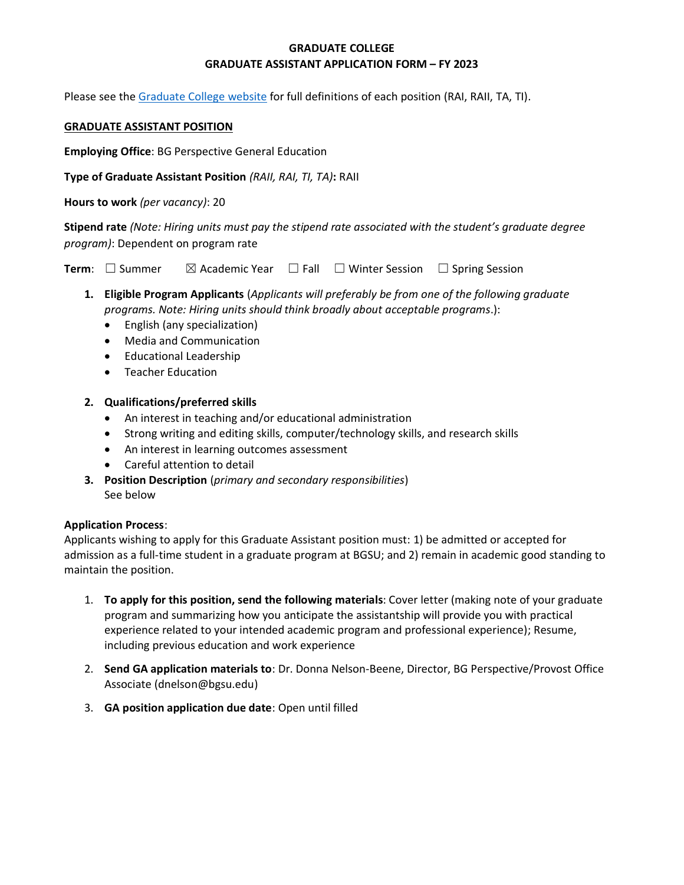# **GRADUATE COLLEGE GRADUATE ASSISTANT APPLICATION FORM – FY 2023**

Please see the [Graduate College website](https://www.bgsu.edu/content/dam/BGSU/graduate-college/doc/graduate-assistantship-policy/FINAL-Grad-Col-GA-guidelines-2020-21.pdf) for full definitions of each position (RAI, RAII, TA, TI).

#### **GRADUATE ASSISTANT POSITION**

**Employing Office**: BG Perspective General Education

**Type of Graduate Assistant Position** *(RAII, RAI, TI, TA)***:** RAII

**Hours to work** *(per vacancy)*: 20

**Stipend rate** *(Note: Hiring units must pay the stipend rate associated with the student's graduate degree program)*: Dependent on program rate

**Term**:  $\Box$  Summer  $\Box$  Academic Year  $\Box$  Fall  $\Box$  Winter Session  $\Box$  Spring Session

- **1. Eligible Program Applicants** (*Applicants will preferably be from one of the following graduate programs. Note: Hiring units should think broadly about acceptable programs*.):
	- English (any specialization)
	- Media and Communication
	- Educational Leadership
	- Teacher Education

## **2. Qualifications/preferred skills**

- An interest in teaching and/or educational administration
- Strong writing and editing skills, computer/technology skills, and research skills
- An interest in learning outcomes assessment
- Careful attention to detail
- **3. Position Description** (*primary and secondary responsibilities*) See below

### **Application Process**:

Applicants wishing to apply for this Graduate Assistant position must: 1) be admitted or accepted for admission as a full-time student in a graduate program at BGSU; and 2) remain in academic good standing to maintain the position.

- 1. **To apply for this position, send the following materials**: Cover letter (making note of your graduate program and summarizing how you anticipate the assistantship will provide you with practical experience related to your intended academic program and professional experience); Resume, including previous education and work experience
- 2. **Send GA application materials to**: Dr. Donna Nelson-Beene, Director, BG Perspective/Provost Office Associate (dnelson@bgsu.edu)
- 3. **GA position application due date**: Open until filled